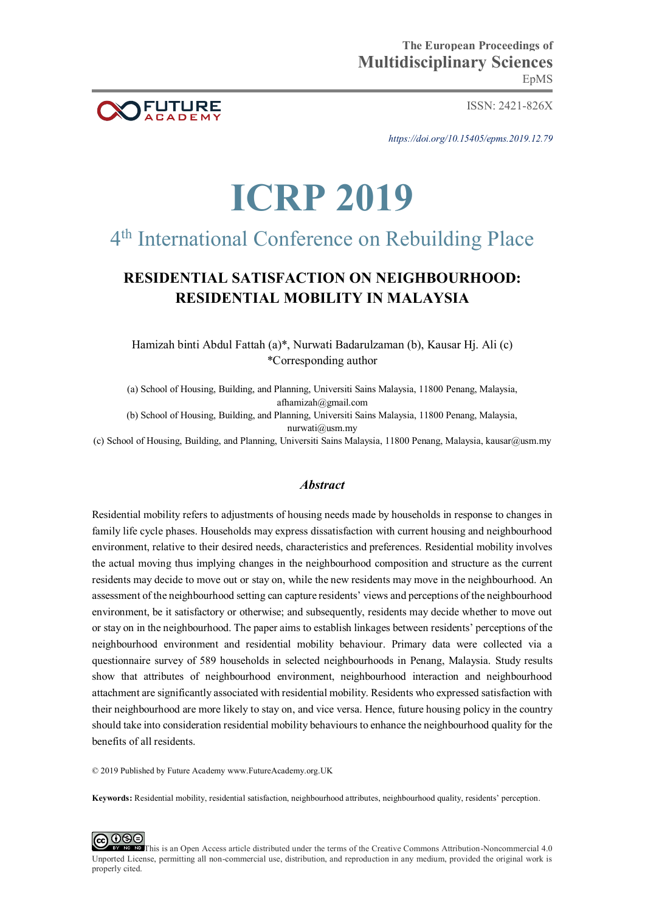

ISSN: 2421-826X

EpMS

*https://doi.org/10.15405/epms.2019.12.79* 

**The European Proceedings of** 

# **ICRP 2019**

## 4 th International Conference on Rebuilding Place

### **RESIDENTIAL SATISFACTION ON NEIGHBOURHOOD: RESIDENTIAL MOBILITY IN MALAYSIA**

Hamizah binti Abdul Fattah (a)\*, Nurwati Badarulzaman (b), Kausar Hj. Ali (c) \*Corresponding author

(a) School of Housing, Building, and Planning, Universiti Sains Malaysia, 11800 Penang, Malaysia, afhamizah@gmail.com (b) School of Housing, Building, and Planning, Universiti Sains Malaysia, 11800 Penang, Malaysia,

nurwati@usm.my

(c) School of Housing, Building, and Planning, Universiti Sains Malaysia, 11800 Penang, Malaysia, kausar@usm.my

#### *Abstract*

Residential mobility refers to adjustments of housing needs made by households in response to changes in family life cycle phases. Households may express dissatisfaction with current housing and neighbourhood environment, relative to their desired needs, characteristics and preferences. Residential mobility involves the actual moving thus implying changes in the neighbourhood composition and structure as the current residents may decide to move out or stay on, while the new residents may move in the neighbourhood. An assessment of the neighbourhood setting can capture residents' views and perceptions of the neighbourhood environment, be it satisfactory or otherwise; and subsequently, residents may decide whether to move out or stay on in the neighbourhood. The paper aims to establish linkages between residents' perceptions of the neighbourhood environment and residential mobility behaviour. Primary data were collected via a questionnaire survey of 589 households in selected neighbourhoods in Penang, Malaysia. Study results show that attributes of neighbourhood environment, neighbourhood interaction and neighbourhood attachment are significantly associated with residential mobility. Residents who expressed satisfaction with their neighbourhood are more likely to stay on, and vice versa. Hence, future housing policy in the country should take into consideration residential mobility behaviours to enhance the neighbourhood quality for the benefits of all residents.

© 2019 Published by Future Academy www.FutureAcademy.org.UK

**Keywords:** Residential mobility, residential satisfaction, neighbourhood attributes, neighbourhood quality, residents' perception.

**@** 000 **ID** This is an Open Access article distributed under the terms of the Creative Commons Attribution-Noncommercial 4.0 Unported License, permitting all non-commercial use, distribution, and reproduction in any medium, provided the original work is properly cited.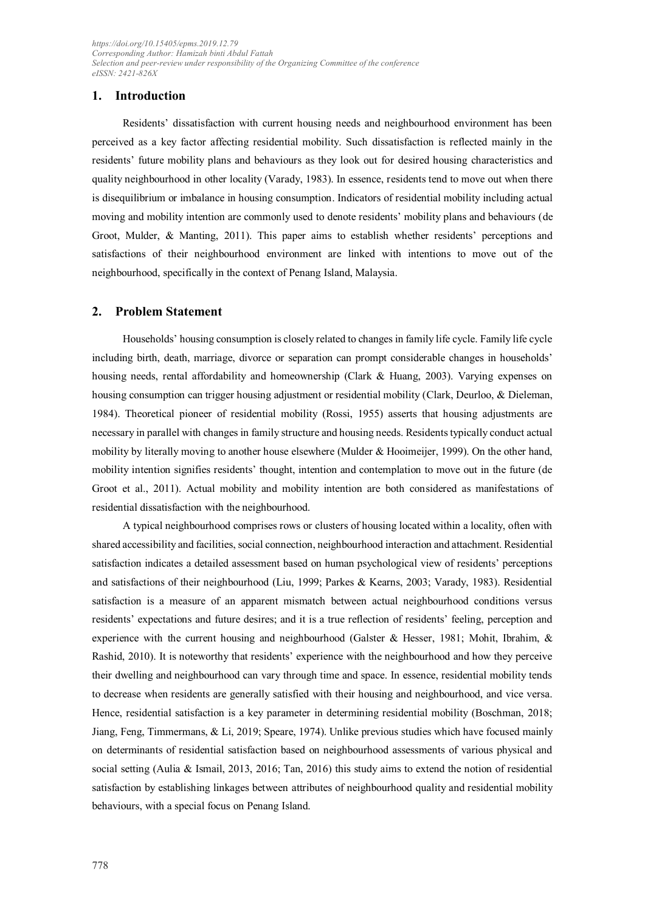#### **1. Introduction**

Residents' dissatisfaction with current housing needs and neighbourhood environment has been perceived as a key factor affecting residential mobility. Such dissatisfaction is reflected mainly in the residents' future mobility plans and behaviours as they look out for desired housing characteristics and quality neighbourhood in other locality (Varady, 1983). In essence, residents tend to move out when there is disequilibrium or imbalance in housing consumption. Indicators of residential mobility including actual moving and mobility intention are commonly used to denote residents' mobility plans and behaviours (de Groot, Mulder, & Manting, 2011). This paper aims to establish whether residents' perceptions and satisfactions of their neighbourhood environment are linked with intentions to move out of the neighbourhood, specifically in the context of Penang Island, Malaysia.

#### **2. Problem Statement**

Households' housing consumption is closely related to changes in family life cycle. Family life cycle including birth, death, marriage, divorce or separation can prompt considerable changes in households' housing needs, rental affordability and homeownership (Clark & Huang, 2003). Varying expenses on housing consumption can trigger housing adjustment or residential mobility (Clark, Deurloo, & Dieleman, 1984). Theoretical pioneer of residential mobility (Rossi, 1955) asserts that housing adjustments are necessary in parallel with changes in family structure and housing needs. Residents typically conduct actual mobility by literally moving to another house elsewhere (Mulder & Hooimeijer, 1999). On the other hand, mobility intention signifies residents' thought, intention and contemplation to move out in the future (de Groot et al., 2011). Actual mobility and mobility intention are both considered as manifestations of residential dissatisfaction with the neighbourhood.

A typical neighbourhood comprises rows or clusters of housing located within a locality, often with shared accessibility and facilities, social connection, neighbourhood interaction and attachment. Residential satisfaction indicates a detailed assessment based on human psychological view of residents' perceptions and satisfactions of their neighbourhood (Liu, 1999; Parkes & Kearns, 2003; Varady, 1983). Residential satisfaction is a measure of an apparent mismatch between actual neighbourhood conditions versus residents' expectations and future desires; and it is a true reflection of residents' feeling, perception and experience with the current housing and neighbourhood (Galster & Hesser, 1981; Mohit, Ibrahim, & Rashid, 2010). It is noteworthy that residents' experience with the neighbourhood and how they perceive their dwelling and neighbourhood can vary through time and space. In essence, residential mobility tends to decrease when residents are generally satisfied with their housing and neighbourhood, and vice versa. Hence, residential satisfaction is a key parameter in determining residential mobility (Boschman, 2018; Jiang, Feng, Timmermans, & Li, 2019; Speare, 1974). Unlike previous studies which have focused mainly on determinants of residential satisfaction based on neighbourhood assessments of various physical and social setting (Aulia & Ismail, 2013, 2016; Tan, 2016) this study aims to extend the notion of residential satisfaction by establishing linkages between attributes of neighbourhood quality and residential mobility behaviours, with a special focus on Penang Island.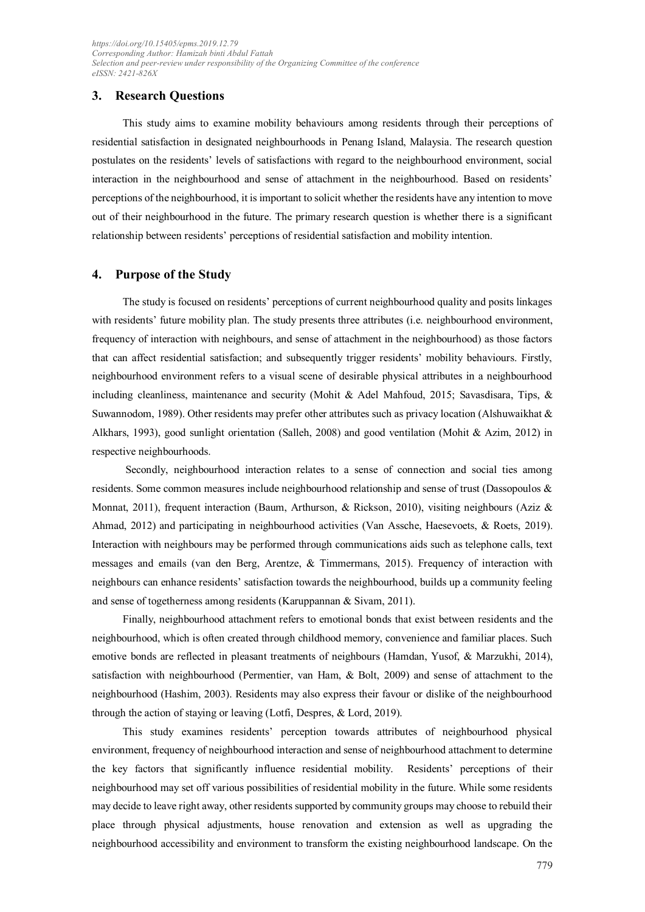#### **3. Research Questions**

This study aims to examine mobility behaviours among residents through their perceptions of residential satisfaction in designated neighbourhoods in Penang Island, Malaysia. The research question postulates on the residents' levels of satisfactions with regard to the neighbourhood environment, social interaction in the neighbourhood and sense of attachment in the neighbourhood. Based on residents' perceptions of the neighbourhood, it is important to solicit whether the residents have any intention to move out of their neighbourhood in the future. The primary research question is whether there is a significant relationship between residents' perceptions of residential satisfaction and mobility intention.

#### **4. Purpose of the Study**

The study is focused on residents' perceptions of current neighbourhood quality and posits linkages with residents' future mobility plan. The study presents three attributes (i.e. neighbourhood environment, frequency of interaction with neighbours, and sense of attachment in the neighbourhood) as those factors that can affect residential satisfaction; and subsequently trigger residents' mobility behaviours. Firstly, neighbourhood environment refers to a visual scene of desirable physical attributes in a neighbourhood including cleanliness, maintenance and security (Mohit & Adel Mahfoud, 2015; Savasdisara, Tips, & Suwannodom, 1989). Other residents may prefer other attributes such as privacy location (Alshuwaikhat & Alkhars, 1993), good sunlight orientation (Salleh, 2008) and good ventilation (Mohit & Azim, 2012) in respective neighbourhoods.

 Secondly, neighbourhood interaction relates to a sense of connection and social ties among residents. Some common measures include neighbourhood relationship and sense of trust (Dassopoulos & Monnat, 2011), frequent interaction (Baum, Arthurson, & Rickson, 2010), visiting neighbours (Aziz & Ahmad, 2012) and participating in neighbourhood activities (Van Assche, Haesevoets, & Roets, 2019). Interaction with neighbours may be performed through communications aids such as telephone calls, text messages and emails (van den Berg, Arentze, & Timmermans, 2015). Frequency of interaction with neighbours can enhance residents' satisfaction towards the neighbourhood, builds up a community feeling and sense of togetherness among residents (Karuppannan & Sivam, 2011).

Finally, neighbourhood attachment refers to emotional bonds that exist between residents and the neighbourhood, which is often created through childhood memory, convenience and familiar places. Such emotive bonds are reflected in pleasant treatments of neighbours (Hamdan, Yusof, & Marzukhi, 2014), satisfaction with neighbourhood (Permentier, van Ham, & Bolt, 2009) and sense of attachment to the neighbourhood (Hashim, 2003). Residents may also express their favour or dislike of the neighbourhood through the action of staying or leaving (Lotfi, Despres, & Lord, 2019).

This study examines residents' perception towards attributes of neighbourhood physical environment, frequency of neighbourhood interaction and sense of neighbourhood attachment to determine the key factors that significantly influence residential mobility. Residents' perceptions of their neighbourhood may set off various possibilities of residential mobility in the future. While some residents may decide to leave right away, other residents supported by community groups may choose to rebuild their place through physical adjustments, house renovation and extension as well as upgrading the neighbourhood accessibility and environment to transform the existing neighbourhood landscape. On the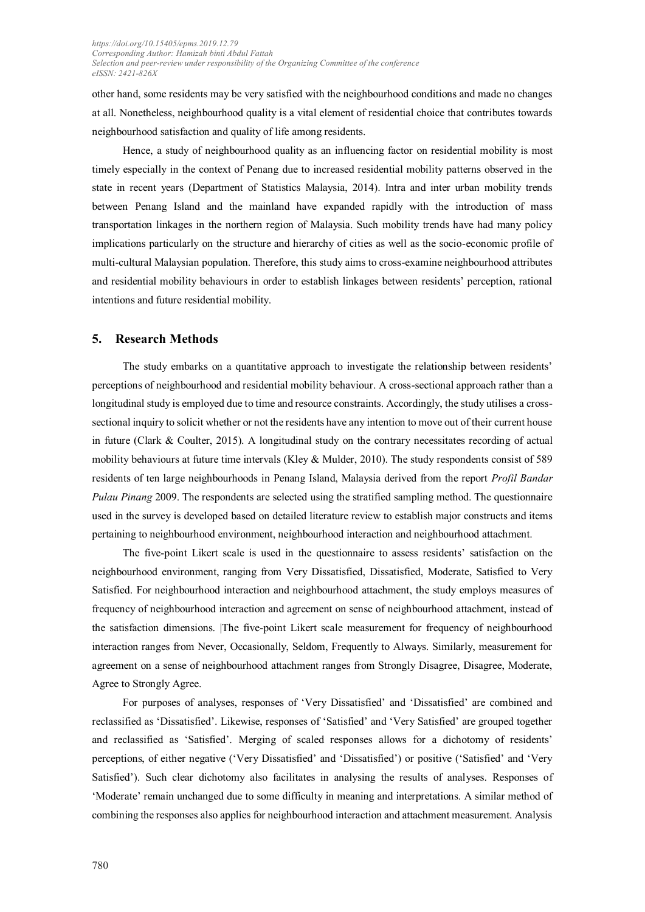other hand, some residents may be very satisfied with the neighbourhood conditions and made no changes at all. Nonetheless, neighbourhood quality is a vital element of residential choice that contributes towards neighbourhood satisfaction and quality of life among residents.

Hence, a study of neighbourhood quality as an influencing factor on residential mobility is most timely especially in the context of Penang due to increased residential mobility patterns observed in the state in recent years (Department of Statistics Malaysia, 2014). Intra and inter urban mobility trends between Penang Island and the mainland have expanded rapidly with the introduction of mass transportation linkages in the northern region of Malaysia. Such mobility trends have had many policy implications particularly on the structure and hierarchy of cities as well as the socio-economic profile of multi-cultural Malaysian population. Therefore, this study aims to cross-examine neighbourhood attributes and residential mobility behaviours in order to establish linkages between residents' perception, rational intentions and future residential mobility.

#### **5. Research Methods**

The study embarks on a quantitative approach to investigate the relationship between residents' perceptions of neighbourhood and residential mobility behaviour. A cross-sectional approach rather than a longitudinal study is employed due to time and resource constraints. Accordingly, the study utilises a crosssectional inquiry to solicit whether or not the residents have any intention to move out of their current house in future (Clark & Coulter, 2015). A longitudinal study on the contrary necessitates recording of actual mobility behaviours at future time intervals (Kley & Mulder, 2010). The study respondents consist of 589 residents of ten large neighbourhoods in Penang Island, Malaysia derived from the report *Profil Bandar Pulau Pinang* 2009. The respondents are selected using the stratified sampling method. The questionnaire used in the survey is developed based on detailed literature review to establish major constructs and items pertaining to neighbourhood environment, neighbourhood interaction and neighbourhood attachment.

The five-point Likert scale is used in the questionnaire to assess residents' satisfaction on the neighbourhood environment, ranging from Very Dissatisfied, Dissatisfied, Moderate, Satisfied to Very Satisfied. For neighbourhood interaction and neighbourhood attachment, the study employs measures of frequency of neighbourhood interaction and agreement on sense of neighbourhood attachment, instead of the satisfaction dimensions. |The five-point Likert scale measurement for frequency of neighbourhood interaction ranges from Never, Occasionally, Seldom, Frequently to Always. Similarly, measurement for agreement on a sense of neighbourhood attachment ranges from Strongly Disagree, Disagree, Moderate, Agree to Strongly Agree.

For purposes of analyses, responses of 'Very Dissatisfied' and 'Dissatisfied' are combined and reclassified as 'Dissatisfied'. Likewise, responses of 'Satisfied' and 'Very Satisfied' are grouped together and reclassified as 'Satisfied'. Merging of scaled responses allows for a dichotomy of residents' perceptions, of either negative ('Very Dissatisfied' and 'Dissatisfied') or positive ('Satisfied' and 'Very Satisfied'). Such clear dichotomy also facilitates in analysing the results of analyses. Responses of 'Moderate' remain unchanged due to some difficulty in meaning and interpretations. A similar method of combining the responses also applies for neighbourhood interaction and attachment measurement. Analysis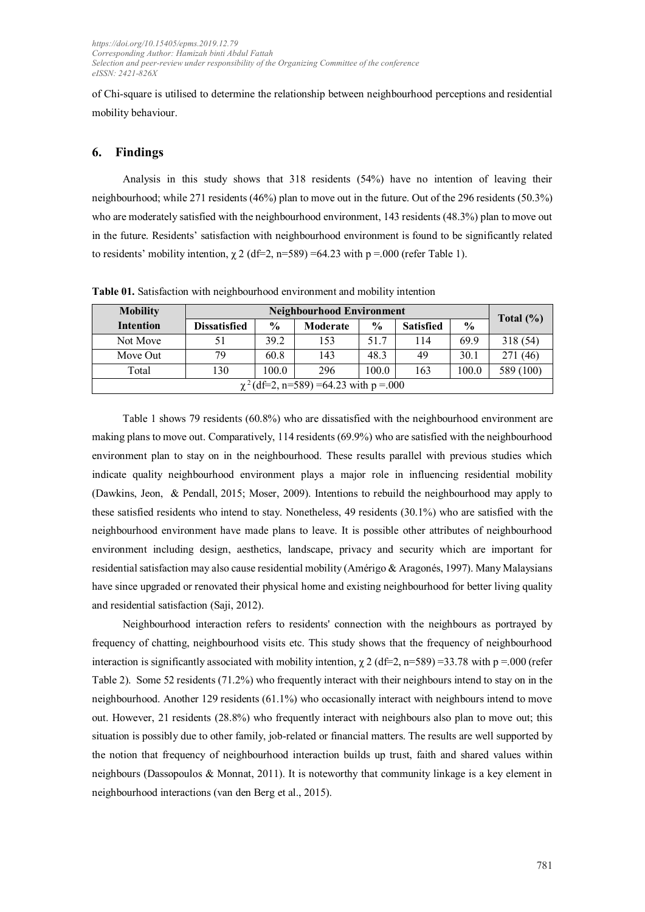of Chi-square is utilised to determine the relationship between neighbourhood perceptions and residential mobility behaviour.

#### **6. Findings**

Analysis in this study shows that 318 residents (54%) have no intention of leaving their neighbourhood; while 271 residents (46%) plan to move out in the future. Out of the 296 residents (50.3%) who are moderately satisfied with the neighbourhood environment, 143 residents (48.3%) plan to move out in the future. Residents' satisfaction with neighbourhood environment is found to be significantly related to residents' mobility intention,  $\chi$  2 (df=2, n=589) =64.23 with p =.000 (refer Table 1).

| <b>Mobility</b>                            | <b>Neighbourhood Environment</b> |               |          |               |                  |               | Total $(\% )$ |
|--------------------------------------------|----------------------------------|---------------|----------|---------------|------------------|---------------|---------------|
| <b>Intention</b>                           | <b>Dissatisfied</b>              | $\frac{0}{0}$ | Moderate | $\frac{6}{9}$ | <b>Satisfied</b> | $\frac{6}{6}$ |               |
| Not Move                                   | 51                               | 39.2          | 153      | 51.7          | 114              | 69.9          | 318 (54)      |
| Move Out                                   | 79                               | 60.8          | 143      | 48.3          | 49               | 30.1          | 271 (46)      |
| Total                                      | 130                              | 100.0         | 296      | 100.0         | 163              | 100.0         | 589 (100)     |
| $\chi^2$ (df=2, n=589) =64.23 with p =.000 |                                  |               |          |               |                  |               |               |

**Table 01.** Satisfaction with neighbourhood environment and mobility intention

Table 1 shows 79 residents (60.8%) who are dissatisfied with the neighbourhood environment are making plans to move out. Comparatively, 114 residents (69.9%) who are satisfied with the neighbourhood environment plan to stay on in the neighbourhood. These results parallel with previous studies which indicate quality neighbourhood environment plays a major role in influencing residential mobility (Dawkins, Jeon, & Pendall, 2015; Moser, 2009). Intentions to rebuild the neighbourhood may apply to these satisfied residents who intend to stay. Nonetheless, 49 residents (30.1%) who are satisfied with the neighbourhood environment have made plans to leave. It is possible other attributes of neighbourhood environment including design, aesthetics, landscape, privacy and security which are important for residential satisfaction may also cause residential mobility (Amérigo & Aragonés, 1997). Many Malaysians have since upgraded or renovated their physical home and existing neighbourhood for better living quality and residential satisfaction (Saji, 2012).

Neighbourhood interaction refers to residents' connection with the neighbours as portrayed by frequency of chatting, neighbourhood visits etc. This study shows that the frequency of neighbourhood interaction is significantly associated with mobility intention,  $\chi$  2 (df=2, n=589) =33.78 with p =.000 (refer Table 2). Some 52 residents (71.2%) who frequently interact with their neighbours intend to stay on in the neighbourhood. Another 129 residents (61.1%) who occasionally interact with neighbours intend to move out. However, 21 residents (28.8%) who frequently interact with neighbours also plan to move out; this situation is possibly due to other family, job-related or financial matters. The results are well supported by the notion that frequency of neighbourhood interaction builds up trust, faith and shared values within neighbours (Dassopoulos & Monnat, 2011). It is noteworthy that community linkage is a key element in neighbourhood interactions (van den Berg et al., 2015).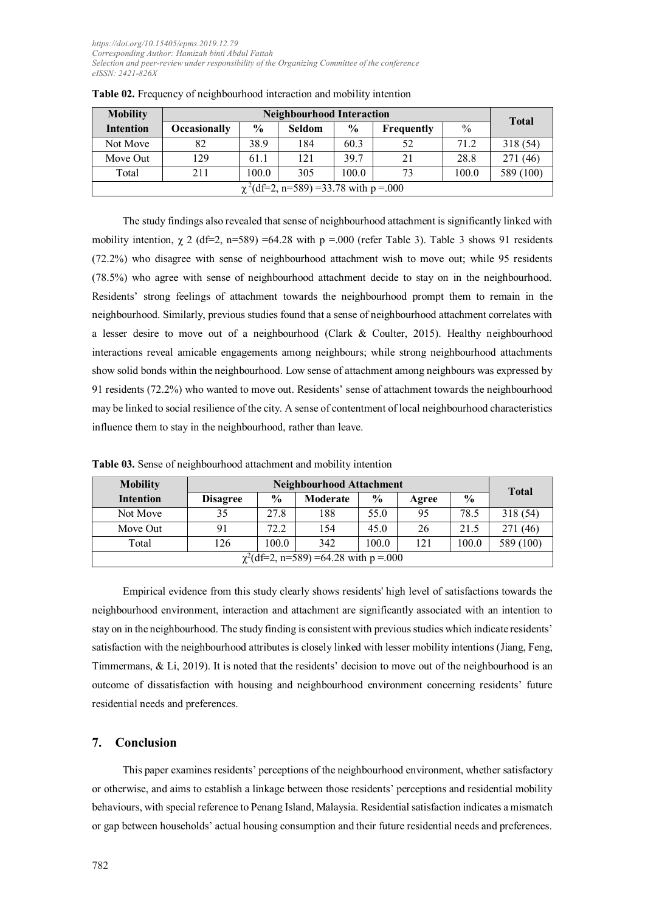| <b>Mobility</b>                            | <b>Neighbourhood Interaction</b> |               |               |               |                   |               |           |
|--------------------------------------------|----------------------------------|---------------|---------------|---------------|-------------------|---------------|-----------|
| <b>Intention</b>                           | <b>Occasionally</b>              | $\frac{0}{0}$ | <b>Seldom</b> | $\frac{6}{9}$ | <b>Frequently</b> | $\frac{0}{0}$ | Total     |
| Not Move                                   | 82                               | 38.9          | 184           | 60.3          | 52                | 71.2          | 318 (54)  |
| Move Out                                   | 129                              | 61.1          | 121           | 39.7          | 21                | 28.8          | 271 (46)  |
| Total                                      | 211                              | 100.0         | 305           | 100.0         | 73                | 100.0         | 589 (100) |
| $\chi^2$ (df=2, n=589) =33.78 with p =.000 |                                  |               |               |               |                   |               |           |

|  | Table 02. Frequency of neighbourhood interaction and mobility intention |  |  |
|--|-------------------------------------------------------------------------|--|--|
|  |                                                                         |  |  |

The study findings also revealed that sense of neighbourhood attachment is significantly linked with mobility intention,  $\chi$  2 (df=2, n=589) =64.28 with p =.000 (refer Table 3). Table 3 shows 91 residents (72.2%) who disagree with sense of neighbourhood attachment wish to move out; while 95 residents (78.5%) who agree with sense of neighbourhood attachment decide to stay on in the neighbourhood. Residents' strong feelings of attachment towards the neighbourhood prompt them to remain in the neighbourhood. Similarly, previous studies found that a sense of neighbourhood attachment correlates with a lesser desire to move out of a neighbourhood (Clark & Coulter, 2015). Healthy neighbourhood interactions reveal amicable engagements among neighbours; while strong neighbourhood attachments show solid bonds within the neighbourhood. Low sense of attachment among neighbours was expressed by 91 residents (72.2%) who wanted to move out. Residents' sense of attachment towards the neighbourhood may be linked to social resilience of the city. A sense of contentment of local neighbourhood characteristics influence them to stay in the neighbourhood, rather than leave.

| <b>Mobility</b>                            | <b>Neighbourhood Attachment</b> |               |          |               |       | <b>Total</b>  |           |
|--------------------------------------------|---------------------------------|---------------|----------|---------------|-------|---------------|-----------|
| <b>Intention</b>                           | <b>Disagree</b>                 | $\frac{6}{9}$ | Moderate | $\frac{6}{9}$ | Agree | $\frac{0}{0}$ |           |
| Not Move                                   | 35                              | 27.8          | 188      | 55.0          | 95    | 78.5          | 318 (54)  |
| Move Out                                   | 91                              | 72.2          | 154      | 45.0          | 26    | 21.5          | 271 (46)  |
| Total                                      | 126                             | 100.0         | 342      | 100.0         | 121   | 100.0         | 589 (100) |
| $\chi^2$ (df=2, n=589) =64.28 with p =.000 |                                 |               |          |               |       |               |           |

**Table 03.** Sense of neighbourhood attachment and mobility intention

Empirical evidence from this study clearly shows residents' high level of satisfactions towards the neighbourhood environment, interaction and attachment are significantly associated with an intention to stay on in the neighbourhood. The study finding is consistent with previous studies which indicate residents' satisfaction with the neighbourhood attributes is closely linked with lesser mobility intentions (Jiang, Feng, Timmermans, & Li, 2019). It is noted that the residents' decision to move out of the neighbourhood is an outcome of dissatisfaction with housing and neighbourhood environment concerning residents' future residential needs and preferences.

#### **7. Conclusion**

This paper examines residents' perceptions of the neighbourhood environment, whether satisfactory or otherwise, and aims to establish a linkage between those residents' perceptions and residential mobility behaviours, with special reference to Penang Island, Malaysia. Residential satisfaction indicates a mismatch or gap between households' actual housing consumption and their future residential needs and preferences.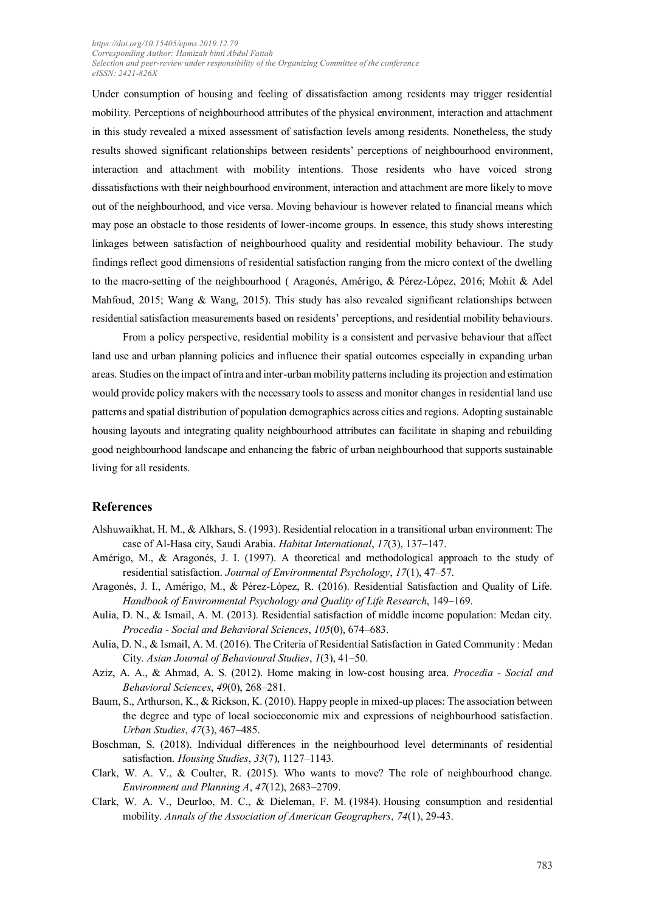Under consumption of housing and feeling of dissatisfaction among residents may trigger residential mobility. Perceptions of neighbourhood attributes of the physical environment, interaction and attachment in this study revealed a mixed assessment of satisfaction levels among residents. Nonetheless, the study results showed significant relationships between residents' perceptions of neighbourhood environment, interaction and attachment with mobility intentions. Those residents who have voiced strong dissatisfactions with their neighbourhood environment, interaction and attachment are more likely to move out of the neighbourhood, and vice versa. Moving behaviour is however related to financial means which may pose an obstacle to those residents of lower-income groups. In essence, this study shows interesting linkages between satisfaction of neighbourhood quality and residential mobility behaviour. The study findings reflect good dimensions of residential satisfaction ranging from the micro context of the dwelling to the macro-setting of the neighbourhood ( Aragonés, Amérigo, & Pérez-López, 2016; Mohit & Adel Mahfoud, 2015; Wang & Wang, 2015). This study has also revealed significant relationships between residential satisfaction measurements based on residents' perceptions, and residential mobility behaviours.

From a policy perspective, residential mobility is a consistent and pervasive behaviour that affect land use and urban planning policies and influence their spatial outcomes especially in expanding urban areas. Studies on the impact of intra and inter-urban mobility patterns including its projection and estimation would provide policy makers with the necessary tools to assess and monitor changes in residential land use patterns and spatial distribution of population demographics across cities and regions. Adopting sustainable housing layouts and integrating quality neighbourhood attributes can facilitate in shaping and rebuilding good neighbourhood landscape and enhancing the fabric of urban neighbourhood that supports sustainable living for all residents.

#### **References**

- Alshuwaikhat, H. M., & Alkhars, S. (1993). Residential relocation in a transitional urban environment: The case of Al-Hasa city, Saudi Arabia. *Habitat International*, *17*(3), 137–147.
- Amérigo, M., & Aragonés, J. I. (1997). A theoretical and methodological approach to the study of residential satisfaction. *Journal of Environmental Psychology*, *17*(1), 47–57.
- Aragonés, J. I., Amérigo, M., & Pérez-López, R. (2016). Residential Satisfaction and Quality of Life. *Handbook of Environmental Psychology and Quality of Life Research*, 149–169.
- Aulia, D. N., & Ismail, A. M. (2013). Residential satisfaction of middle income population: Medan city. *Procedia - Social and Behavioral Sciences*, *105*(0), 674–683.
- Aulia, D. N., & Ismail, A. M. (2016). The Criteria of Residential Satisfaction in Gated Community : Medan City. *Asian Journal of Behavioural Studies*, *1*(3), 41–50.
- Aziz, A. A., & Ahmad, A. S. (2012). Home making in low-cost housing area. *Procedia Social and Behavioral Sciences*, *49*(0), 268–281.
- Baum, S., Arthurson, K., & Rickson, K. (2010). Happy people in mixed-up places: The association between the degree and type of local socioeconomic mix and expressions of neighbourhood satisfaction. *Urban Studies*, *47*(3), 467–485.
- Boschman, S. (2018). Individual differences in the neighbourhood level determinants of residential satisfaction. *Housing Studies*, *33*(7), 1127–1143.
- Clark, W. A. V., & Coulter, R. (2015). Who wants to move? The role of neighbourhood change. *Environment and Planning A*, *47*(12), 2683–2709.
- Clark, W. A. V., Deurloo, M. C., & Dieleman, F. M. (1984). Housing consumption and residential mobility. *Annals of the Association of American Geographers*, *74*(1), 29-43.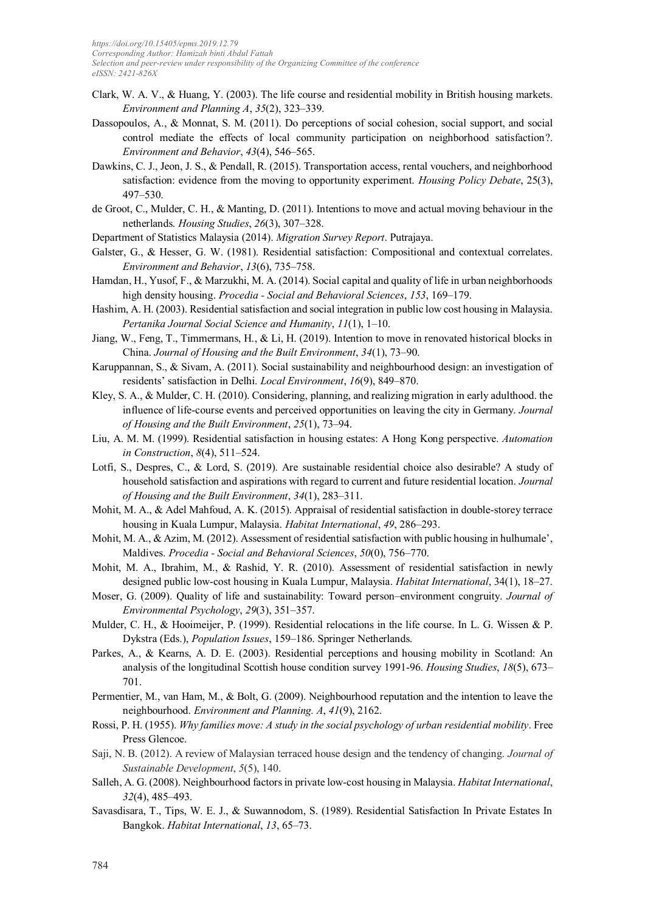- Clark, W. A. V., & Huang, Y. (2003). The life course and residential mobility in British housing markets. *Environment and Planning A*, *35*(2), 323–339.
- Dassopoulos, A., & Monnat, S. M. (2011). Do perceptions of social cohesion, social support, and social control mediate the effects of local community participation on neighborhood satisfaction?. *Environment and Behavior*, *43*(4), 546–565.
- Dawkins, C. J., Jeon, J. S., & Pendall, R. (2015). Transportation access, rental vouchers, and neighborhood satisfaction: evidence from the moving to opportunity experiment. *Housing Policy Debate*, 25(3), 497–530.
- de Groot, C., Mulder, C. H., & Manting, D. (2011). Intentions to move and actual moving behaviour in the netherlands. *Housing Studies*, *26*(3), 307–328.
- Department of Statistics Malaysia (2014). *Migration Survey Report*. Putrajaya.
- Galster, G., & Hesser, G. W. (1981). Residential satisfaction: Compositional and contextual correlates. *Environment and Behavior*, *13*(6), 735–758.
- Hamdan, H., Yusof, F., & Marzukhi, M. A. (2014). Social capital and quality of life in urban neighborhoods high density housing. *Procedia - Social and Behavioral Sciences*, *153*, 169–179.
- Hashim, A. H. (2003). Residential satisfaction and social integration in public low cost housing in Malaysia. *Pertanika Journal Social Science and Humanity*, *11*(1), 1–10.
- Jiang, W., Feng, T., Timmermans, H., & Li, H. (2019). Intention to move in renovated historical blocks in China. *Journal of Housing and the Built Environment*, *34*(1), 73–90.
- Karuppannan, S., & Sivam, A. (2011). Social sustainability and neighbourhood design: an investigation of residents' satisfaction in Delhi. *Local Environment*, *16*(9), 849–870.
- Kley, S. A., & Mulder, C. H. (2010). Considering, planning, and realizing migration in early adulthood. the influence of life-course events and perceived opportunities on leaving the city in Germany. *Journal of Housing and the Built Environment*, *25*(1), 73–94.
- Liu, A. M. M. (1999). Residential satisfaction in housing estates: A Hong Kong perspective. *Automation in Construction*, *8*(4), 511–524.
- Lotfi, S., Despres, C., & Lord, S. (2019). Are sustainable residential choice also desirable? A study of household satisfaction and aspirations with regard to current and future residential location. *Journal of Housing and the Built Environment*, *34*(1), 283–311.
- Mohit, M. A., & Adel Mahfoud, A. K. (2015). Appraisal of residential satisfaction in double-storey terrace housing in Kuala Lumpur, Malaysia. *Habitat International*, *49*, 286–293.
- Mohit, M. A., & Azim, M. (2012). Assessment of residential satisfaction with public housing in hulhumale', Maldives. *Procedia - Social and Behavioral Sciences*, *50*(0), 756–770.
- Mohit, M. A., Ibrahim, M., & Rashid, Y. R. (2010). Assessment of residential satisfaction in newly designed public low-cost housing in Kuala Lumpur, Malaysia. *Habitat International*, 34(1), 18–27.
- Moser, G. (2009). Quality of life and sustainability: Toward person–environment congruity. *Journal of Environmental Psychology*, *29*(3), 351–357.
- Mulder, C. H., & Hooimeijer, P. (1999). Residential relocations in the life course. In L. G. Wissen & P. Dykstra (Eds.), *Population Issues*, 159–186. Springer Netherlands.
- Parkes, A., & Kearns, A. D. E. (2003). Residential perceptions and housing mobility in Scotland: An analysis of the longitudinal Scottish house condition survey 1991-96. *Housing Studies*, *18*(5), 673– 701.
- Permentier, M., van Ham, M., & Bolt, G. (2009). Neighbourhood reputation and the intention to leave the neighbourhood. *Environment and Planning. A*, *41*(9), 2162.
- Rossi, P. H. (1955). *Why families move: A study in the social psychology of urban residential mobility*. Free Press Glencoe.
- Saji, N. B. (2012). A review of Malaysian terraced house design and the tendency of changing. *Journal of Sustainable Development*, *5*(5), 140.
- Salleh, A. G. (2008). Neighbourhood factors in private low-cost housing in Malaysia. *Habitat International*, *32*(4), 485–493.
- Savasdisara, T., Tips, W. E. J., & Suwannodom, S. (1989). Residential Satisfaction In Private Estates In Bangkok. *Habitat International*, *13*, 65–73.